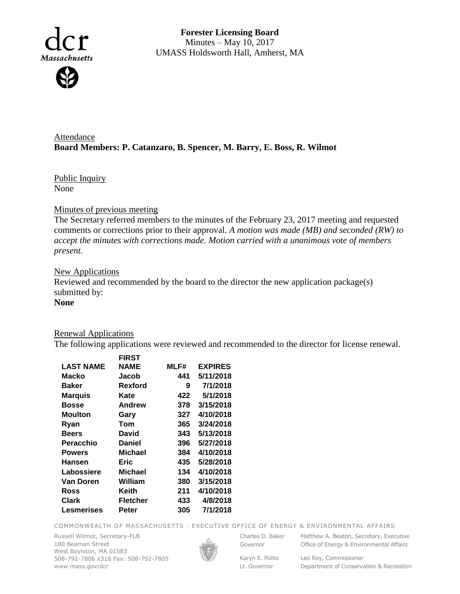

**Forester Licensing Board**  Minutes – May 10, 2017 UMASS Holdsworth Hall, Amherst, MA

Attendance **Board Members: P. Catanzaro, B. Spencer, M. Barry, E. Boss, R. Wilmot**

Public Inquiry None

### Minutes of previous meeting

The Secretary referred members to the minutes of the February 23, 2017 meeting and requested comments or corrections prior to their approval. *A motion was made (MB) and seconded (RW) to accept the minutes with corrections made. Motion carried with a unanimous vote of members present.*

### **New Applications**

Reviewed and recommended by the board to the director the new application package(s) submitted by:

# **None**

## Renewal Applications

The following applications were reviewed and recommended to the director for license renewal.

|                  | <b>FIRST</b>   |      |                |
|------------------|----------------|------|----------------|
| <b>LAST NAME</b> | NAME           | MLF# | <b>EXPIRES</b> |
| Macko            | Jacob          | 441  | 5/11/2018      |
| <b>Baker</b>     | Rexford        | 9    | 7/1/2018       |
| <b>Marquis</b>   | Kate           | 422  | 5/1/2018       |
| <b>Bosse</b>     | Andrew         | 378  | 3/15/2018      |
| Moulton          | Gary           | 327  | 4/10/2018      |
| Ryan             | Tom            | 365  | 3/24/2018      |
| <b>Beers</b>     | David          | 343  | 5/13/2018      |
| Peracchio        | Daniel         | 396  | 5/27/2018      |
| <b>Powers</b>    | <b>Michael</b> | 384  | 4/10/2018      |
| Hansen           | Eric           | 435  | 5/28/2018      |
| Labossiere       | <b>Michael</b> | 134  | 4/10/2018      |
| Van Doren        | William        | 380  | 3/15/2018      |
| Ross             | Keith          | 211  | 4/10/2018      |
| Clark            | Fletcher       | 433  | 4/8/2018       |
| Lesmerises       | Peter          | 305  | 7/1/2018       |
|                  |                |      |                |

COMMONWEALTH OF MASSACHUSETTS · EXECUTIVE OFFICE OF ENERGY & ENVIRONMENTAL AFFAIRS

Russell Wilmot, Secretary-FLB 180 Beaman Street West Boylston, MA 01583 508-792-7806 x318 Fax: 508-792-7805 www.mass.gov/dcr



Governor Karyn E. Polito

Lt. Governor

Charles D. Baker Matthew A. Beaton, Secretary, Executive Office of Energy & Environmental Affairs

> Leo Roy, Commissioner Department of Conservation & Recreation